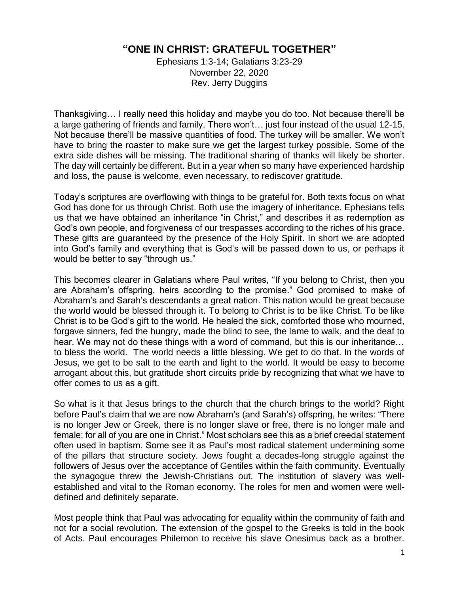## **"ONE IN CHRIST: GRATEFUL TOGETHER"**

Ephesians 1:3-14; Galatians 3:23-29 November 22, 2020 Rev. Jerry Duggins

Thanksgiving… I really need this holiday and maybe you do too. Not because there'll be a large gathering of friends and family. There won't… just four instead of the usual 12-15. Not because there'll be massive quantities of food. The turkey will be smaller. We won't have to bring the roaster to make sure we get the largest turkey possible. Some of the extra side dishes will be missing. The traditional sharing of thanks will likely be shorter. The day will certainly be different. But in a year when so many have experienced hardship and loss, the pause is welcome, even necessary, to rediscover gratitude.

Today's scriptures are overflowing with things to be grateful for. Both texts focus on what God has done for us through Christ. Both use the imagery of inheritance. Ephesians tells us that we have obtained an inheritance "in Christ," and describes it as redemption as God's own people, and forgiveness of our trespasses according to the riches of his grace. These gifts are guaranteed by the presence of the Holy Spirit. In short we are adopted into God's family and everything that is God's will be passed down to us, or perhaps it would be better to say "through us."

This becomes clearer in Galatians where Paul writes, "If you belong to Christ, then you are Abraham's offspring, heirs according to the promise." God promised to make of Abraham's and Sarah's descendants a great nation. This nation would be great because the world would be blessed through it. To belong to Christ is to be like Christ. To be like Christ is to be God's gift to the world. He healed the sick, comforted those who mourned, forgave sinners, fed the hungry, made the blind to see, the lame to walk, and the deaf to hear. We may not do these things with a word of command, but this is our inheritance… to bless the world. The world needs a little blessing. We get to do that. In the words of Jesus, we get to be salt to the earth and light to the world. It would be easy to become arrogant about this, but gratitude short circuits pride by recognizing that what we have to offer comes to us as a gift.

So what is it that Jesus brings to the church that the church brings to the world? Right before Paul's claim that we are now Abraham's (and Sarah's) offspring, he writes: "There is no longer Jew or Greek, there is no longer slave or free, there is no longer male and female; for all of you are one in Christ." Most scholars see this as a brief creedal statement often used in baptism. Some see it as Paul's most radical statement undermining some of the pillars that structure society. Jews fought a decades-long struggle against the followers of Jesus over the acceptance of Gentiles within the faith community. Eventually the synagogue threw the Jewish-Christians out. The institution of slavery was wellestablished and vital to the Roman economy. The roles for men and women were welldefined and definitely separate.

Most people think that Paul was advocating for equality within the community of faith and not for a social revolution. The extension of the gospel to the Greeks is told in the book of Acts. Paul encourages Philemon to receive his slave Onesimus back as a brother.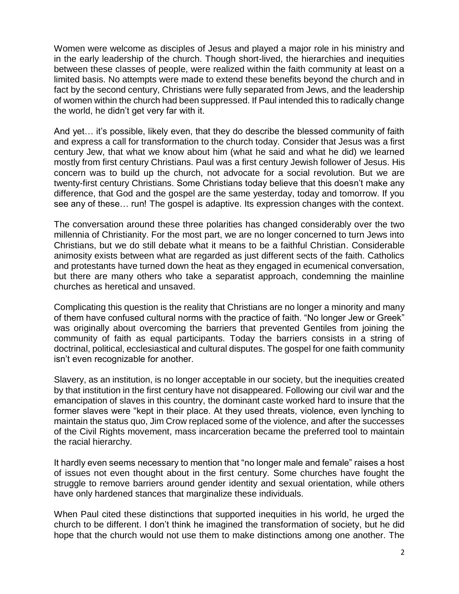Women were welcome as disciples of Jesus and played a major role in his ministry and in the early leadership of the church. Though short-lived, the hierarchies and inequities between these classes of people, were realized within the faith community at least on a limited basis. No attempts were made to extend these benefits beyond the church and in fact by the second century, Christians were fully separated from Jews, and the leadership of women within the church had been suppressed. If Paul intended this to radically change the world, he didn't get very far with it.

And yet… it's possible, likely even, that they do describe the blessed community of faith and express a call for transformation to the church today. Consider that Jesus was a first century Jew, that what we know about him (what he said and what he did) we learned mostly from first century Christians. Paul was a first century Jewish follower of Jesus. His concern was to build up the church, not advocate for a social revolution. But we are twenty-first century Christians. Some Christians today believe that this doesn't make any difference, that God and the gospel are the same yesterday, today and tomorrow. If you see any of these… run! The gospel is adaptive. Its expression changes with the context.

The conversation around these three polarities has changed considerably over the two millennia of Christianity. For the most part, we are no longer concerned to turn Jews into Christians, but we do still debate what it means to be a faithful Christian. Considerable animosity exists between what are regarded as just different sects of the faith. Catholics and protestants have turned down the heat as they engaged in ecumenical conversation, but there are many others who take a separatist approach, condemning the mainline churches as heretical and unsaved.

Complicating this question is the reality that Christians are no longer a minority and many of them have confused cultural norms with the practice of faith. "No longer Jew or Greek" was originally about overcoming the barriers that prevented Gentiles from joining the community of faith as equal participants. Today the barriers consists in a string of doctrinal, political, ecclesiastical and cultural disputes. The gospel for one faith community isn't even recognizable for another.

Slavery, as an institution, is no longer acceptable in our society, but the inequities created by that institution in the first century have not disappeared. Following our civil war and the emancipation of slaves in this country, the dominant caste worked hard to insure that the former slaves were "kept in their place. At they used threats, violence, even lynching to maintain the status quo, Jim Crow replaced some of the violence, and after the successes of the Civil Rights movement, mass incarceration became the preferred tool to maintain the racial hierarchy.

It hardly even seems necessary to mention that "no longer male and female" raises a host of issues not even thought about in the first century. Some churches have fought the struggle to remove barriers around gender identity and sexual orientation, while others have only hardened stances that marginalize these individuals.

When Paul cited these distinctions that supported inequities in his world, he urged the church to be different. I don't think he imagined the transformation of society, but he did hope that the church would not use them to make distinctions among one another. The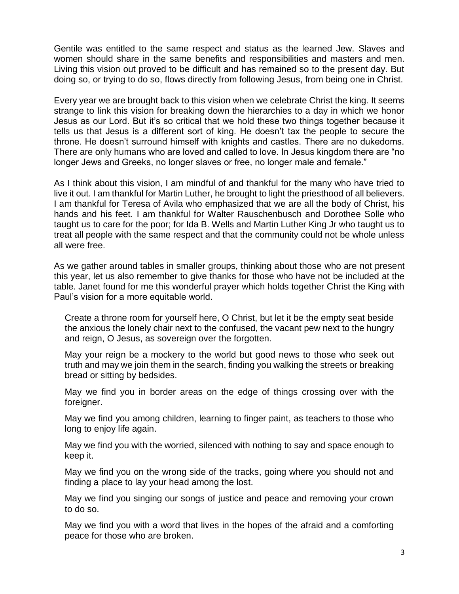Gentile was entitled to the same respect and status as the learned Jew. Slaves and women should share in the same benefits and responsibilities and masters and men. Living this vision out proved to be difficult and has remained so to the present day. But doing so, or trying to do so, flows directly from following Jesus, from being one in Christ.

Every year we are brought back to this vision when we celebrate Christ the king. It seems strange to link this vision for breaking down the hierarchies to a day in which we honor Jesus as our Lord. But it's so critical that we hold these two things together because it tells us that Jesus is a different sort of king. He doesn't tax the people to secure the throne. He doesn't surround himself with knights and castles. There are no dukedoms. There are only humans who are loved and called to love. In Jesus kingdom there are "no longer Jews and Greeks, no longer slaves or free, no longer male and female."

As I think about this vision, I am mindful of and thankful for the many who have tried to live it out. I am thankful for Martin Luther, he brought to light the priesthood of all believers. I am thankful for Teresa of Avila who emphasized that we are all the body of Christ, his hands and his feet. I am thankful for Walter Rauschenbusch and Dorothee Solle who taught us to care for the poor; for Ida B. Wells and Martin Luther King Jr who taught us to treat all people with the same respect and that the community could not be whole unless all were free.

As we gather around tables in smaller groups, thinking about those who are not present this year, let us also remember to give thanks for those who have not be included at the table. Janet found for me this wonderful prayer which holds together Christ the King with Paul's vision for a more equitable world.

Create a throne room for yourself here, O Christ, but let it be the empty seat beside the anxious the lonely chair next to the confused, the vacant pew next to the hungry and reign, O Jesus, as sovereign over the forgotten.

May your reign be a mockery to the world but good news to those who seek out truth and may we join them in the search, finding you walking the streets or breaking bread or sitting by bedsides.

May we find you in border areas on the edge of things crossing over with the foreigner.

May we find you among children, learning to finger paint, as teachers to those who long to enjoy life again.

May we find you with the worried, silenced with nothing to say and space enough to keep it.

May we find you on the wrong side of the tracks, going where you should not and finding a place to lay your head among the lost.

May we find you singing our songs of justice and peace and removing your crown to do so.

May we find you with a word that lives in the hopes of the afraid and a comforting peace for those who are broken.